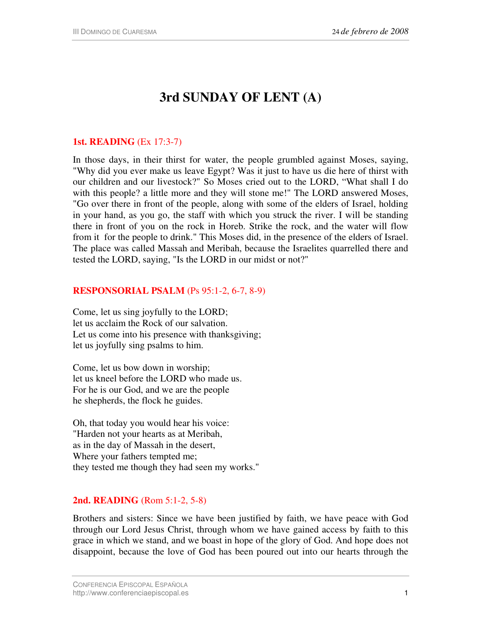# **3rd SUNDAY OF LENT (A)**

### **1st. READING** (Ex 17:3-7)

In those days, in their thirst for water, the people grumbled against Moses, saying, "Why did you ever make us leave Egypt? Was it just to have us die here of thirst with our children and our livestock?" So Moses cried out to the LORD, "What shall I do with this people? a little more and they will stone me!" The LORD answered Moses, "Go over there in front of the people, along with some of the elders of Israel, holding in your hand, as you go, the staff with which you struck the river. I will be standing there in front of you on the rock in Horeb. Strike the rock, and the water will flow from it for the people to drink." This Moses did, in the presence of the elders of Israel. The place was called Massah and Meribah, because the Israelites quarrelled there and tested the LORD, saying, "Is the LORD in our midst or not?"

#### **RESPONSORIAL PSALM** (Ps 95:1-2, 6-7, 8-9)

Come, let us sing joyfully to the LORD; let us acclaim the Rock of our salvation. Let us come into his presence with thanksgiving; let us joyfully sing psalms to him.

Come, let us bow down in worship; let us kneel before the LORD who made us. For he is our God, and we are the people he shepherds, the flock he guides.

Oh, that today you would hear his voice: "Harden not your hearts as at Meribah, as in the day of Massah in the desert, Where your fathers tempted me; they tested me though they had seen my works."

## **2nd. READING** (Rom 5:1-2, 5-8)

Brothers and sisters: Since we have been justified by faith, we have peace with God through our Lord Jesus Christ, through whom we have gained access by faith to this grace in which we stand, and we boast in hope of the glory of God. And hope does not disappoint, because the love of God has been poured out into our hearts through the